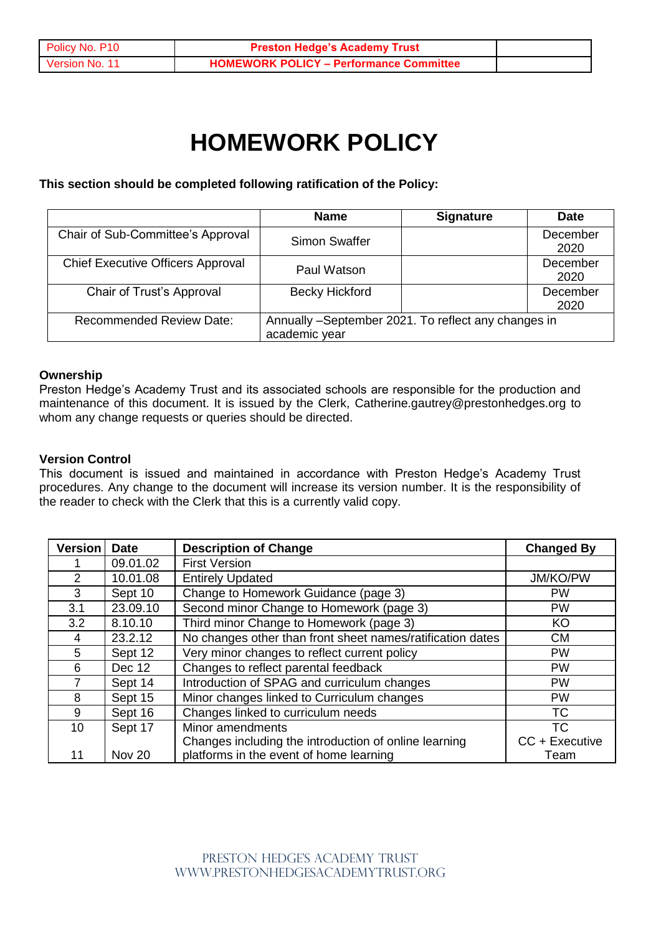# **HOMEWORK POLICY**

**This section should be completed following ratification of the Policy:**

|                                          | <b>Name</b>                                                          | <b>Signature</b> | <b>Date</b>      |
|------------------------------------------|----------------------------------------------------------------------|------------------|------------------|
| Chair of Sub-Committee's Approval        | <b>Simon Swaffer</b>                                                 |                  | December<br>2020 |
| <b>Chief Executive Officers Approval</b> | Paul Watson                                                          |                  | December<br>2020 |
| Chair of Trust's Approval                | <b>Becky Hickford</b>                                                |                  | December<br>2020 |
| <b>Recommended Review Date:</b>          | Annually -September 2021. To reflect any changes in<br>academic year |                  |                  |

# **Ownership**

Preston Hedge's Academy Trust and its associated schools are responsible for the production and maintenance of this document. It is issued by the Clerk, Catherine.gautrey@prestonhedges.org to whom any change requests or queries should be directed.

# **Version Control**

This document is issued and maintained in accordance with Preston Hedge's Academy Trust procedures. Any change to the document will increase its version number. It is the responsibility of the reader to check with the Clerk that this is a currently valid copy.

| <b>Version</b>  | <b>Date</b> | <b>Description of Change</b>                               | <b>Changed By</b> |
|-----------------|-------------|------------------------------------------------------------|-------------------|
|                 | 09.01.02    | <b>First Version</b>                                       |                   |
| $\mathcal{P}$   | 10.01.08    | <b>Entirely Updated</b>                                    | JM/KO/PW          |
| 3               | Sept 10     | Change to Homework Guidance (page 3)                       | <b>PW</b>         |
| 3.1             | 23.09.10    | Second minor Change to Homework (page 3)                   | <b>PW</b>         |
| 3.2             | 8.10.10     | Third minor Change to Homework (page 3)                    | KO                |
| 4               | 23.2.12     | No changes other than front sheet names/ratification dates | <b>CM</b>         |
| 5.              | Sept 12     | Very minor changes to reflect current policy               | <b>PW</b>         |
| 6.              | Dec 12      | Changes to reflect parental feedback                       | <b>PW</b>         |
|                 | Sept 14     | Introduction of SPAG and curriculum changes                | <b>PW</b>         |
| 8               | Sept 15     | Minor changes linked to Curriculum changes                 | <b>PW</b>         |
| 9               | Sept 16     | Changes linked to curriculum needs                         | ТC                |
| 10 <sup>°</sup> | Sept 17     | Minor amendments                                           | <b>TC</b>         |
|                 |             | Changes including the introduction of online learning      | CC + Executive    |
| 11              | Nov 20      | platforms in the event of home learning                    | Team              |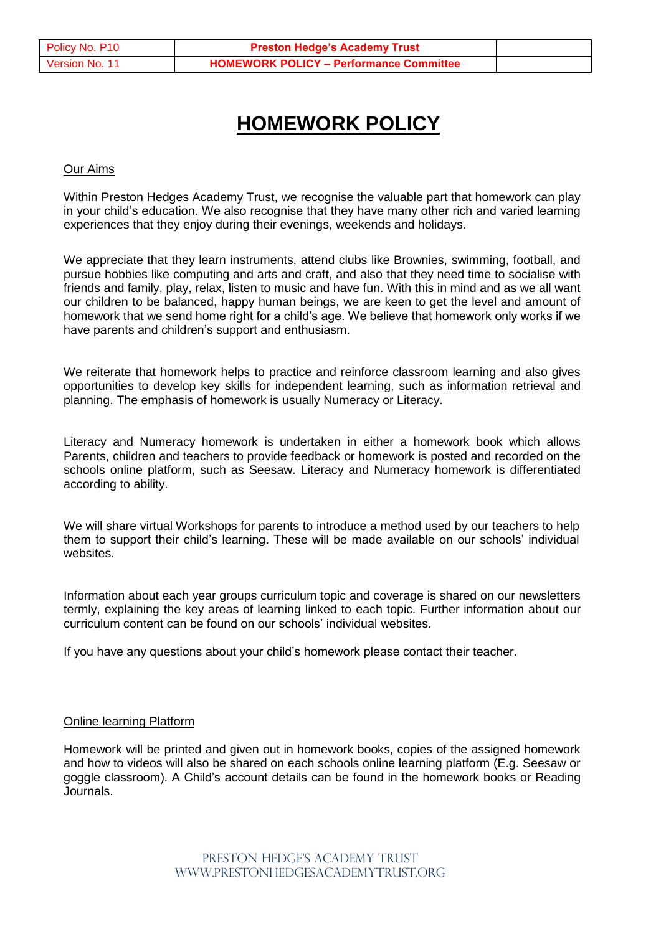# **HOMEWORK POLICY**

#### Our Aims

Within Preston Hedges Academy Trust, we recognise the valuable part that homework can play in your child's education. We also recognise that they have many other rich and varied learning experiences that they enjoy during their evenings, weekends and holidays.

We appreciate that they learn instruments, attend clubs like Brownies, swimming, football, and pursue hobbies like computing and arts and craft, and also that they need time to socialise with friends and family, play, relax, listen to music and have fun. With this in mind and as we all want our children to be balanced, happy human beings, we are keen to get the level and amount of homework that we send home right for a child's age. We believe that homework only works if we have parents and children's support and enthusiasm.

We reiterate that homework helps to practice and reinforce classroom learning and also gives opportunities to develop key skills for independent learning, such as information retrieval and planning. The emphasis of homework is usually Numeracy or Literacy.

Literacy and Numeracy homework is undertaken in either a homework book which allows Parents, children and teachers to provide feedback or homework is posted and recorded on the schools online platform, such as Seesaw. Literacy and Numeracy homework is differentiated according to ability.

We will share virtual Workshops for parents to introduce a method used by our teachers to help them to support their child's learning. These will be made available on our schools' individual websites.

Information about each year groups curriculum topic and coverage is shared on our newsletters termly, explaining the key areas of learning linked to each topic. Further information about our curriculum content can be found on our schools' individual websites.

If you have any questions about your child's homework please contact their teacher.

#### Online learning Platform

Homework will be printed and given out in homework books, copies of the assigned homework and how to videos will also be shared on each schools online learning platform (E.g. Seesaw or goggle classroom). A Child's account details can be found in the homework books or Reading Journals.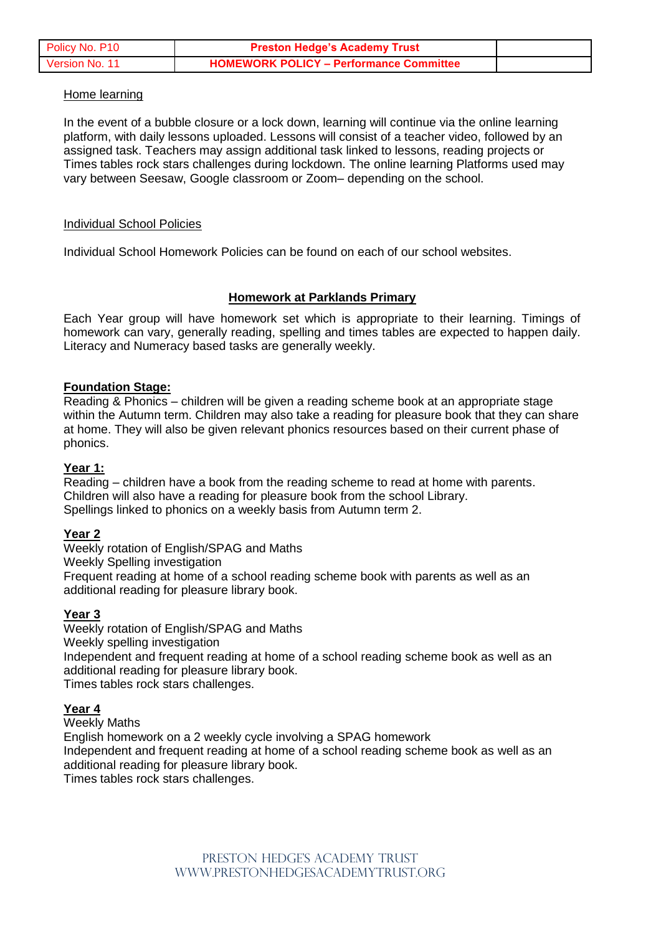| Policy No. P10        | <b>Preston Hedge's Academy Trust</b>           |  |
|-----------------------|------------------------------------------------|--|
| <b>Version No. 11</b> | <b>HOMEWORK POLICY - Performance Committee</b> |  |

#### Home learning

In the event of a bubble closure or a lock down, learning will continue via the online learning platform, with daily lessons uploaded. Lessons will consist of a teacher video, followed by an assigned task. Teachers may assign additional task linked to lessons, reading projects or Times tables rock stars challenges during lockdown. The online learning Platforms used may vary between Seesaw, Google classroom or Zoom– depending on the school.

#### Individual School Policies

Individual School Homework Policies can be found on each of our school websites.

#### **Homework at Parklands Primary**

Each Year group will have homework set which is appropriate to their learning. Timings of homework can vary, generally reading, spelling and times tables are expected to happen daily. Literacy and Numeracy based tasks are generally weekly.

#### **Foundation Stage:**

Reading & Phonics – children will be given a reading scheme book at an appropriate stage within the Autumn term. Children may also take a reading for pleasure book that they can share at home. They will also be given relevant phonics resources based on their current phase of phonics.

#### **Year 1:**

Reading – children have a book from the reading scheme to read at home with parents. Children will also have a reading for pleasure book from the school Library. Spellings linked to phonics on a weekly basis from Autumn term 2.

#### **Year 2**

Weekly rotation of English/SPAG and Maths

Weekly Spelling investigation

Frequent reading at home of a school reading scheme book with parents as well as an additional reading for pleasure library book.

# **Year 3**

Weekly rotation of English/SPAG and Maths Weekly spelling investigation Independent and frequent reading at home of a school reading scheme book as well as an additional reading for pleasure library book. Times tables rock stars challenges.

# **Year 4**

Weekly Maths

English homework on a 2 weekly cycle involving a SPAG homework Independent and frequent reading at home of a school reading scheme book as well as an additional reading for pleasure library book. Times tables rock stars challenges.